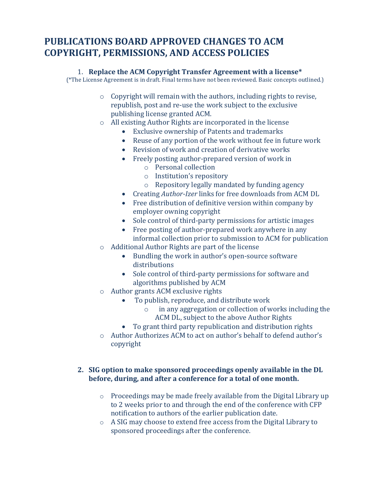# **PUBLICATIONS BOARD APPROVED CHANGES TO ACM COPYRIGHT, PERMISSIONS, AND ACCESS POLICIES**

#### 1. **Replace the ACM Copyright Transfer Agreement with a license\***

(\*The License Agreement is in draft. Final terms have not been reviewed. Basic concepts outlined.)

- o Copyright will remain with the authors, including rights to revise, republish, post and re-use the work subject to the exclusive publishing license granted ACM.
- o All existing Author Rights are incorporated in the license
	- Exclusive ownership of Patents and trademarks
	- Reuse of any portion of the work without fee in future work
	- Revision of work and creation of derivative works
	- Freely posting author-prepared version of work in
		- o Personal collection
		- o Institution's repository
		- o Repository legally mandated by funding agency
	- Creating *Author-Izer* links for free downloads from ACM DL
	- Free distribution of definitive version within company by employer owning copyright
	- Sole control of third-party permissions for artistic images
	- Free posting of author-prepared work anywhere in any informal collection prior to submission to ACM for publication
- o Additional Author Rights are part of the license
	- Bundling the work in author's open-source software distributions
	- Sole control of third-party permissions for software and algorithms published by ACM
- o Author grants ACM exclusive rights
	- To publish, reproduce, and distribute work
		- o in any aggregation or collection of works including the ACM DL, subject to the above Author Rights
	- To grant third party republication and distribution rights
- o Author Authorizes ACM to act on author's behalf to defend author's copyright

## **2. SIG option to make sponsored proceedings openly available in the DL before, during, and after a conference for a total of one month.**

- o Proceedings may be made freely available from the Digital Library up to 2 weeks prior to and through the end of the conference with CFP notification to authors of the earlier publication date.
- o A SIG may choose to extend free access from the Digital Library to sponsored proceedings after the conference.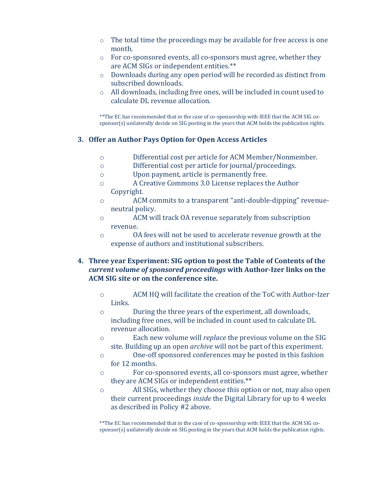- o The total time the proceedings may be available for free access is one month.
- o For co-sponsored events, all co-sponsors must agree, whether they are ACM SIGs or independent entities.\*\*
- o Downloads during any open period will be recorded as distinct from subscribed downloads.
- o All downloads, including free ones, will be included in count used to calculate DL revenue allocation.

\*\*The EC has recommended that in the case of co-sponsorship with IEEE that the ACM SIG cosponsor(s) unilaterally decide on SIG posting in the years that ACM holds the publication rights.

### **3. Offer an Author Pays Option for Open Access Articles**

- o Differential cost per article for ACM Member/Nonmember.
- o Differential cost per article for journal/proceedings.
- o Upon payment, article is permanently free.
- o A Creative Commons 3.0 License replaces the Author Copyright.
- o ACM commits to a transparent "anti-double-dipping" revenueneutral policy.
- o ACM will track OA revenue separately from subscription revenue.
- o OA fees will not be used to accelerate revenue growth at the expense of authors and institutional subscribers.

### **4. Three year Experiment: SIG option to post the Table of Contents of the**  *current volume of sponsored proceedings* **with Author-Izer links on the ACM SIG site or on the conference site.**

- o ACM HQ will facilitate the creation of the ToC with Author-Izer Links.
- o During the three years of the experiment, all downloads, including free ones, will be included in count used to calculate DL revenue allocation.
- o Each new volume will *replace* the previous volume on the SIG site. Building up an open *archive* will not be part of this experiment.
- o One-off sponsored conferences may be posted in this fashion for 12 months.
- o For co-sponsored events, all co-sponsors must agree, whether they are ACM SIGs or independent entities.\*\*
- o All SIGs, whether they choose this option or not, may also open their current proceedings *inside* the Digital Library for up to 4 weeks as described in Policy #2 above.

\*\*The EC has recommended that in the case of co-sponsorship with IEEE that the ACM SIG cosponsor(s) unilaterally decide on SIG posting in the years that ACM holds the publication rights.